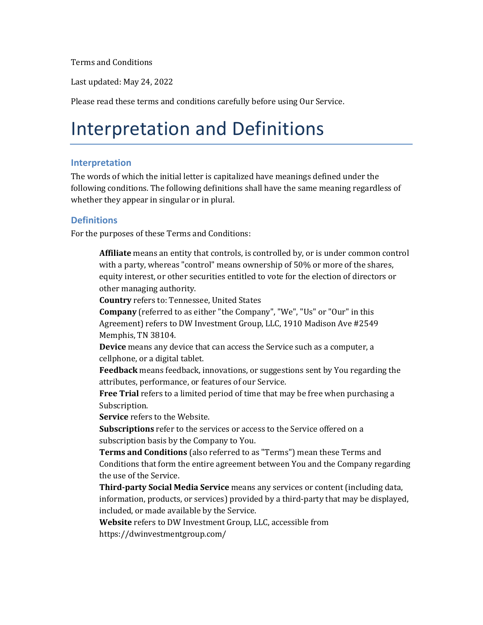Terms and Conditions

Last updated: May 24, 2022

Please read these terms and conditions carefully before using Our Service.

### Interpretation and Definitions

#### **Interpretation**

The words of which the initial letter is capitalized have meanings defined under the following conditions. The following definitions shall have the same meaning regardless of whether they appear in singular or in plural.

#### **Definitions**

For the purposes of these Terms and Conditions:

**Affiliate** means an entity that controls, is controlled by, or is under common control with a party, whereas "control" means ownership of 50% or more of the shares, equity interest, or other securities entitled to vote for the election of directors or other managing authority.

**Country** refers to: Tennessee, United States

**Company** (referred to as either "the Company", "We", "Us" or "Our" in this Agreement) refers to DW Investment Group, LLC, 1910 Madison Ave #2549 Memphis, TN 38104.

**Device** means any device that can access the Service such as a computer, a cellphone, or a digital tablet.

**Feedback** means feedback, innovations, or suggestions sent by You regarding the attributes, performance, or features of our Service.

**Free Trial** refers to a limited period of time that may be free when purchasing a Subscription.

**Service** refers to the Website.

**Subscriptions** refer to the services or access to the Service offered on a subscription basis by the Company to You.

**Terms and Conditions** (also referred to as "Terms") mean these Terms and Conditions that form the entire agreement between You and the Company regarding the use of the Service.

**Third-party Social Media Service** means any services or content (including data, information, products, or services) provided by a third-party that may be displayed, included, or made available by the Service.

**Website** refers to DW Investment Group, LLC, accessible from <https://dwinvestmentgroup.com/>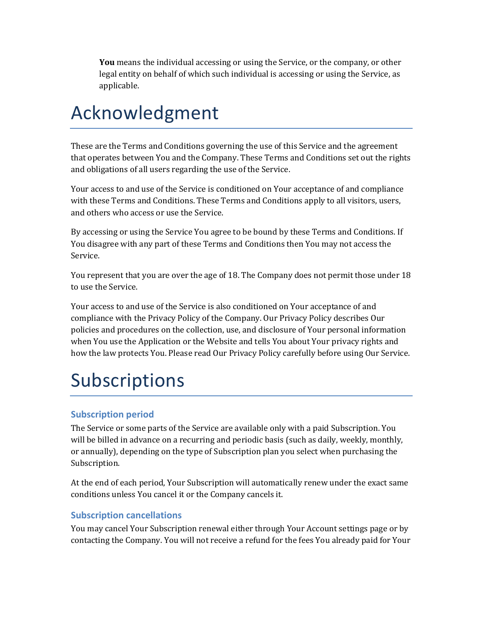**You** means the individual accessing or using the Service, or the company, or other legal entity on behalf of which such individual is accessing or using the Service, as applicable.

### Acknowledgment

These are the Terms and Conditions governing the use of this Service and the agreement that operates between You and the Company. These Terms and Conditions set out the rights and obligations of all users regarding the use of the Service.

Your access to and use of the Service is conditioned on Your acceptance of and compliance with these Terms and Conditions. These Terms and Conditions apply to all visitors, users, and others who access or use the Service.

By accessing or using the Service You agree to be bound by these Terms and Conditions. If You disagree with any part of these Terms and Conditions then You may not access the Service.

You represent that you are over the age of 18. The Company does not permit those under 18 to use the Service.

Your access to and use of the Service is also conditioned on Your acceptance of and compliance with the Privacy Policy of the Company. Our Privacy Policy describes Our policies and procedures on the collection, use, and disclosure of Your personal information when You use the Application or the Website and tells You about Your privacy rights and how the law protects You. Please read Our Privacy Policy carefully before using Our Service.

## Subscriptions

### **Subscription period**

The Service or some parts of the Service are available only with a paid Subscription. You will be billed in advance on a recurring and periodic basis (such as daily, weekly, monthly, or annually), depending on the type of Subscription plan you select when purchasing the Subscription.

At the end of each period, Your Subscription will automatically renew under the exact same conditions unless You cancel it or the Company cancels it.

#### **Subscription cancellations**

You may cancel Your Subscription renewal either through Your Account settings page or by contacting the Company. You will not receive a refund for the fees You already paid for Your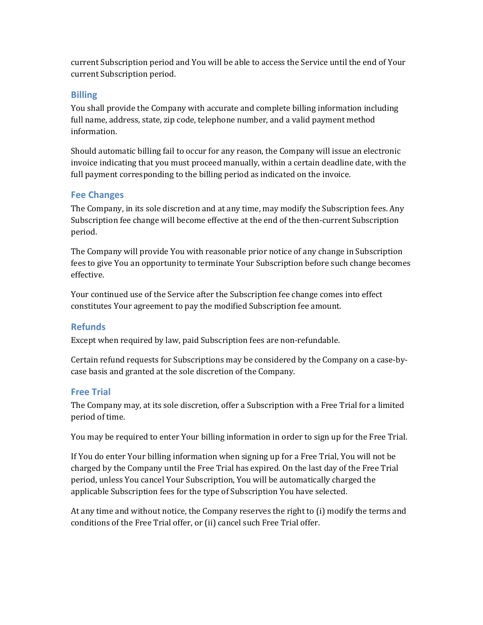current Subscription period and You will be able to access the Service until the end of Your current Subscription period.

#### **Billing**

You shall provide the Company with accurate and complete billing information including full name, address, state, zip code, telephone number, and a valid payment method information.

Should automatic billing fail to occur for any reason, the Company will issue an electronic invoice indicating that you must proceed manually, within a certain deadline date, with the full payment corresponding to the billing period as indicated on the invoice.

#### **Fee Changes**

The Company, in its sole discretion and at any time, may modify the Subscription fees. Any Subscription fee change will become effective at the end of the then-current Subscription period.

The Company will provide You with reasonable prior notice of any change in Subscription fees to give You an opportunity to terminate Your Subscription before such change becomes effective.

Your continued use of the Service after the Subscription fee change comes into effect constitutes Your agreement to pay the modified Subscription fee amount.

#### **Refunds**

Except when required by law, paid Subscription fees are non-refundable.

Certain refund requests for Subscriptions may be considered by the Company on a case-bycase basis and granted at the sole discretion of the Company.

#### **Free Trial**

The Company may, at its sole discretion, offer a Subscription with a Free Trial for a limited period of time.

You may be required to enter Your billing information in order to sign up for the Free Trial.

If You do enter Your billing information when signing up for a Free Trial, You will not be charged by the Company until the Free Trial has expired. On the last day of the Free Trial period, unless You cancel Your Subscription, You will be automatically charged the applicable Subscription fees for the type of Subscription You have selected.

At any time and without notice, the Company reserves the right to (i) modify the terms and conditions of the Free Trial offer, or (ii) cancel such Free Trial offer.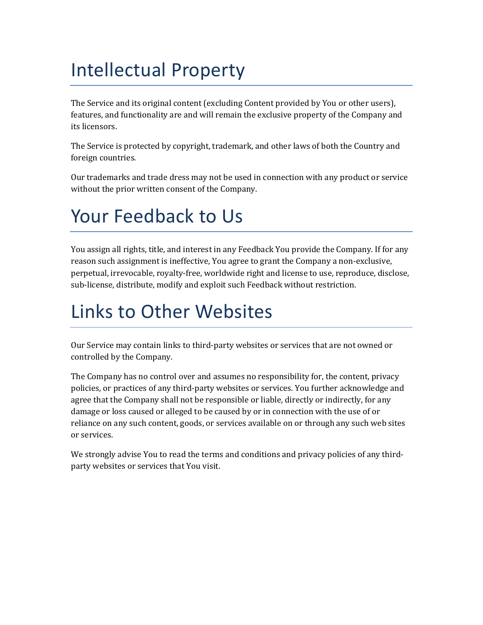### Intellectual Property

The Service and its original content (excluding Content provided by You or other users), features, and functionality are and will remain the exclusive property of the Company and its licensors.

The Service is protected by copyright, trademark, and other laws of both the Country and foreign countries.

Our trademarks and trade dress may not be used in connection with any product or service without the prior written consent of the Company.

## Your Feedback to Us

You assign all rights, title, and interest in any Feedback You provide the Company. If for any reason such assignment is ineffective, You agree to grant the Company a non-exclusive, perpetual, irrevocable, royalty-free, worldwide right and license to use, reproduce, disclose, sub-license, distribute, modify and exploit such Feedback without restriction.

## Links to Other Websites

Our Service may contain links to third-party websites or services that are not owned or controlled by the Company.

The Company has no control over and assumes no responsibility for, the content, privacy policies, or practices of any third-party websites or services. You further acknowledge and agree that the Company shall not be responsible or liable, directly or indirectly, for any damage or loss caused or alleged to be caused by or in connection with the use of or reliance on any such content, goods, or services available on or through any such web sites or services.

We strongly advise You to read the terms and conditions and privacy policies of any thirdparty websites or services that You visit.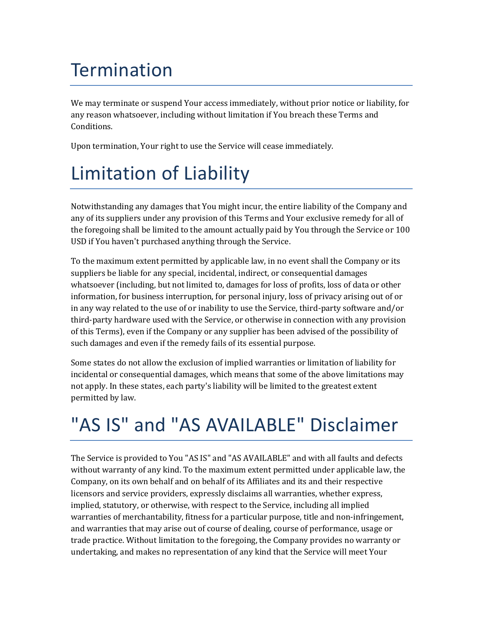### **Termination**

We may terminate or suspend Your access immediately, without prior notice or liability, for any reason whatsoever, including without limitation if You breach these Terms and Conditions.

Upon termination, Your right to use the Service will cease immediately.

## Limitation of Liability

Notwithstanding any damages that You might incur, the entire liability of the Company and any of its suppliers under any provision of this Terms and Your exclusive remedy for all of the foregoing shall be limited to the amount actually paid by You through the Service or 100 USD if You haven't purchased anything through the Service.

To the maximum extent permitted by applicable law, in no event shall the Company or its suppliers be liable for any special, incidental, indirect, or consequential damages whatsoever (including, but not limited to, damages for loss of profits, loss of data or other information, for business interruption, for personal injury, loss of privacy arising out of or in any way related to the use of or inability to use the Service, third-party software and/or third-party hardware used with the Service, or otherwise in connection with any provision of this Terms), even if the Company or any supplier has been advised of the possibility of such damages and even if the remedy fails of its essential purpose.

Some states do not allow the exclusion of implied warranties or limitation of liability for incidental or consequential damages, which means that some of the above limitations may not apply. In these states, each party's liability will be limited to the greatest extent permitted by law.

## "AS IS" and "AS AVAILABLE" Disclaimer

The Service is provided to You "AS IS" and "AS AVAILABLE" and with all faults and defects without warranty of any kind. To the maximum extent permitted under applicable law, the Company, on its own behalf and on behalf of its Affiliates and its and their respective licensors and service providers, expressly disclaims all warranties, whether express, implied, statutory, or otherwise, with respect to the Service, including all implied warranties of merchantability, fitness for a particular purpose, title and non-infringement, and warranties that may arise out of course of dealing, course of performance, usage or trade practice. Without limitation to the foregoing, the Company provides no warranty or undertaking, and makes no representation of any kind that the Service will meet Your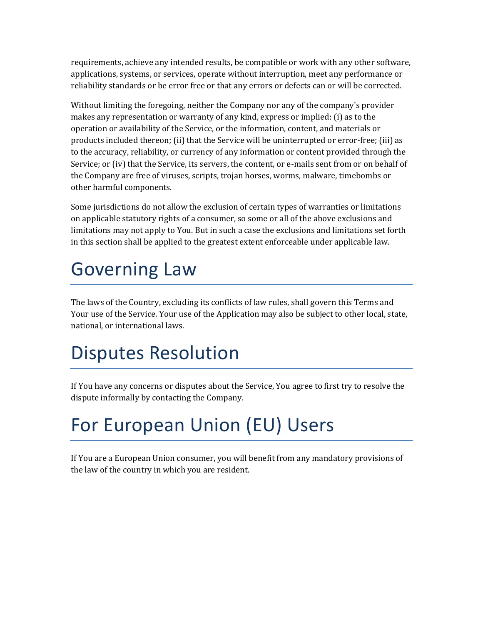requirements, achieve any intended results, be compatible or work with any other software, applications, systems, or services, operate without interruption, meet any performance or reliability standards or be error free or that any errors or defects can or will be corrected.

Without limiting the foregoing, neither the Company nor any of the company's provider makes any representation or warranty of any kind, express or implied: (i) as to the operation or availability of the Service, or the information, content, and materials or products included thereon; (ii) that the Service will be uninterrupted or error-free; (iii) as to the accuracy, reliability, or currency of any information or content provided through the Service; or (iv) that the Service, its servers, the content, or e-mails sent from or on behalf of the Company are free of viruses, scripts, trojan horses, worms, malware, timebombs or other harmful components.

Some jurisdictions do not allow the exclusion of certain types of warranties or limitations on applicable statutory rights of a consumer, so some or all of the above exclusions and limitations may not apply to You. But in such a case the exclusions and limitations set forth in this section shall be applied to the greatest extent enforceable under applicable law.

### Governing Law

The laws of the Country, excluding its conflicts of law rules, shall govern this Terms and Your use of the Service. Your use of the Application may also be subject to other local, state, national, or international laws.

## Disputes Resolution

If You have any concerns or disputes about the Service, You agree to first try to resolve the dispute informally by contacting the Company.

# For European Union (EU) Users

If You are a European Union consumer, you will benefit from any mandatory provisions of the law of the country in which you are resident.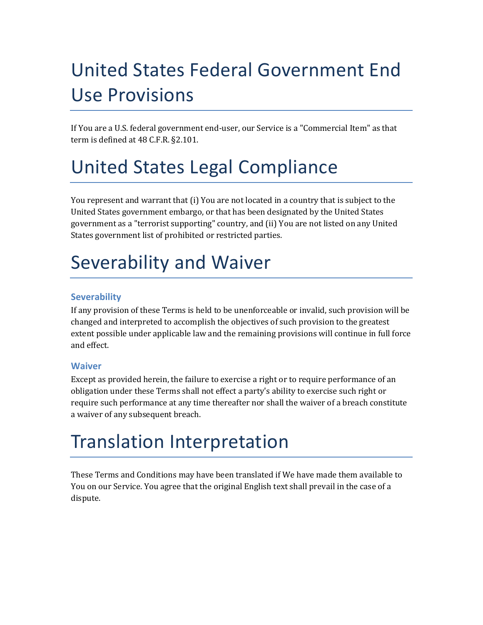# United States Federal Government End Use Provisions

If You are a U.S. federal government end-user, our Service is a "Commercial Item" as that term is defined at 48 C.F.R. §2.101.

### United States Legal Compliance

You represent and warrant that (i) You are not located in a country that is subject to the United States government embargo, or that has been designated by the United States government as a "terrorist supporting" country, and (ii) You are not listed on any United States government list of prohibited or restricted parties.

### Severability and Waiver

#### **Severability**

If any provision of these Terms is held to be unenforceable or invalid, such provision will be changed and interpreted to accomplish the objectives of such provision to the greatest extent possible under applicable law and the remaining provisions will continue in full force and effect.

#### **Waiver**

Except as provided herein, the failure to exercise a right or to require performance of an obligation under these Terms shall not effect a party's ability to exercise such right or require such performance at any time thereafter nor shall the waiver of a breach constitute a waiver of any subsequent breach.

## Translation Interpretation

These Terms and Conditions may have been translated if We have made them available to You on our Service. You agree that the original English text shall prevail in the case of a dispute.